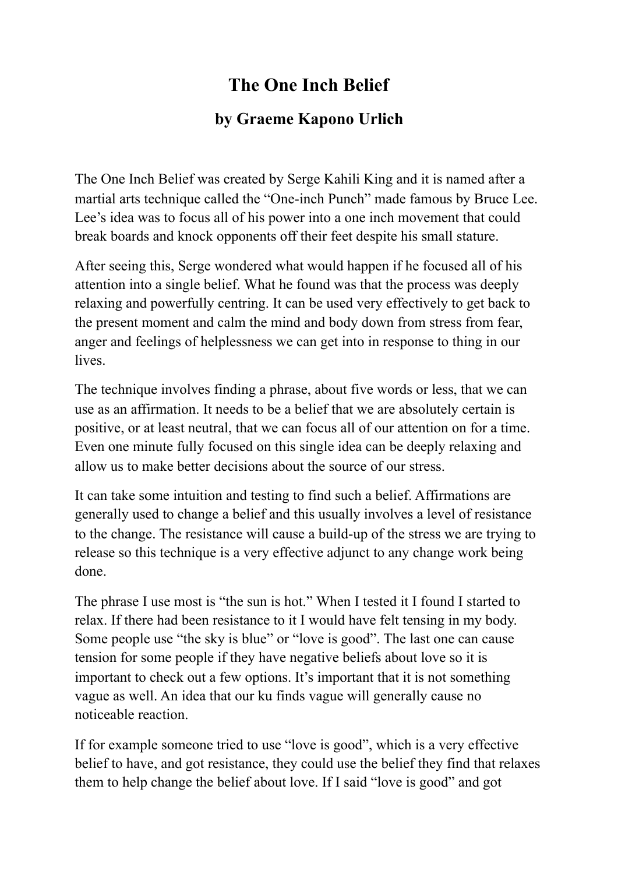## **The One Inch Belief**

## **by Graeme Kapono Urlich**

The One Inch Belief was created by Serge Kahili King and it is named after a martial arts technique called the "One-inch Punch" made famous by Bruce Lee. Lee's idea was to focus all of his power into a one inch movement that could break boards and knock opponents off their feet despite his small stature.

After seeing this, Serge wondered what would happen if he focused all of his attention into a single belief. What he found was that the process was deeply relaxing and powerfully centring. It can be used very effectively to get back to the present moment and calm the mind and body down from stress from fear, anger and feelings of helplessness we can get into in response to thing in our lives.

The technique involves finding a phrase, about five words or less, that we can use as an affirmation. It needs to be a belief that we are absolutely certain is positive, or at least neutral, that we can focus all of our attention on for a time. Even one minute fully focused on this single idea can be deeply relaxing and allow us to make better decisions about the source of our stress.

It can take some intuition and testing to find such a belief. Affirmations are generally used to change a belief and this usually involves a level of resistance to the change. The resistance will cause a build-up of the stress we are trying to release so this technique is a very effective adjunct to any change work being done.

The phrase I use most is "the sun is hot." When I tested it I found I started to relax. If there had been resistance to it I would have felt tensing in my body. Some people use "the sky is blue" or "love is good". The last one can cause tension for some people if they have negative beliefs about love so it is important to check out a few options. It's important that it is not something vague as well. An idea that our ku finds vague will generally cause no noticeable reaction.

If for example someone tried to use "love is good", which is a very effective belief to have, and got resistance, they could use the belief they find that relaxes them to help change the belief about love. If I said "love is good" and got